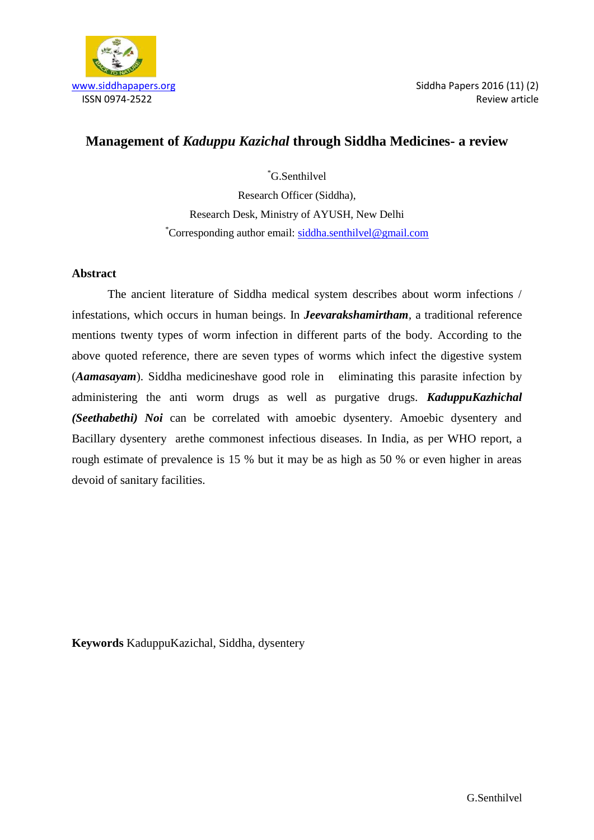

# **Management of** *Kaduppu Kazichal* **through Siddha Medicines- a review**

\*G.Senthilvel Research Officer (Siddha), Research Desk, Ministry of AYUSH, New Delhi \*Corresponding author email: [siddha.senthilvel@gmail.com](mailto:siddha.senthilvel@gmail.com)

## **Abstract**

The ancient literature of Siddha medical system describes about worm infections / infestations, which occurs in human beings. In *Jeevarakshamirtham,* a traditional reference mentions twenty types of worm infection in different parts of the body. According to the above quoted reference, there are seven types of worms which infect the digestive system (*Aamasayam*). Siddha medicineshave good role in eliminating this parasite infection by administering the anti worm drugs as well as purgative drugs. *KaduppuKazhichal (Seethabethi) Noi* can be correlated with amoebic dysentery. Amoebic dysentery and Bacillary dysentery arethe commonest infectious diseases. In India, as per WHO report, a rough estimate of prevalence is 15 % but it may be as high as 50 % or even higher in areas devoid of sanitary facilities.

**Keywords** KaduppuKazichal, Siddha, dysentery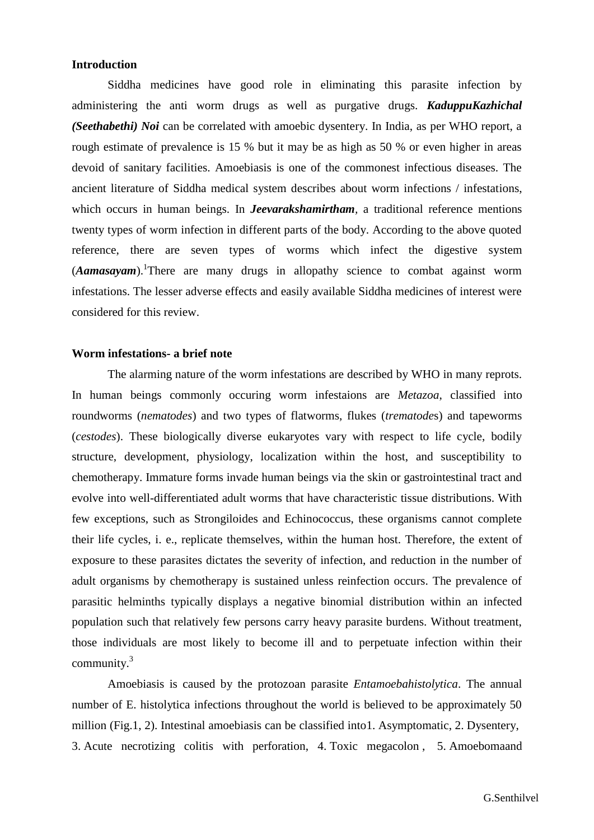#### **Introduction**

Siddha medicines have good role in eliminating this parasite infection by administering the anti worm drugs as well as purgative drugs. *KaduppuKazhichal (Seethabethi) Noi* can be correlated with amoebic dysentery. In India, as per WHO report, a rough estimate of prevalence is 15 % but it may be as high as 50 % or even higher in areas devoid of sanitary facilities. Amoebiasis is one of the commonest infectious diseases. The ancient literature of Siddha medical system describes about worm infections / infestations, which occurs in human beings. In *Jeevarakshamirtham*, a traditional reference mentions twenty types of worm infection in different parts of the body. According to the above quoted reference, there are seven types of worms which infect the digestive system (*Aamasayam*). There are many drugs in allopathy science to combat against worm infestations. The lesser adverse effects and easily available Siddha medicines of interest were considered for this review.

#### **Worm infestations- a brief note**

The alarming nature of the worm infestations are described by WHO in many reprots. In human beings commonly occuring worm infestaions are *Metazoa*, classified into roundworms (*nematodes*) and two types of flatworms, flukes (*trematode*s) and tapeworms (*cestodes*). These biologically diverse eukaryotes vary with respect to life cycle, bodily structure, development, physiology, localization within the host, and susceptibility to chemotherapy. Immature forms invade human beings via the skin or gastrointestinal tract and evolve into well-differentiated adult worms that have characteristic tissue distributions. With few exceptions, such as Strongiloides and Echinococcus, these organisms cannot complete their life cycles, i. e., replicate themselves, within the human host. Therefore, the extent of exposure to these parasites dictates the severity of infection, and reduction in the number of adult organisms by chemotherapy is sustained unless reinfection occurs. The prevalence of parasitic helminths typically displays a negative binomial distribution within an infected population such that relatively few persons carry heavy parasite burdens. Without treatment, those individuals are most likely to become ill and to perpetuate infection within their community.<sup>3</sup>

Amoebiasis is caused by the protozoan parasite *Entamoebahistolytica*. The annual number of E. histolytica infections throughout the world is believed to be approximately 50 million (Fig.1, 2). Intestinal amoebiasis can be classified into1. Asymptomatic, 2. Dysentery, 3. Acute necrotizing colitis with perforation, 4. Toxic megacolon , 5. Amoebomaand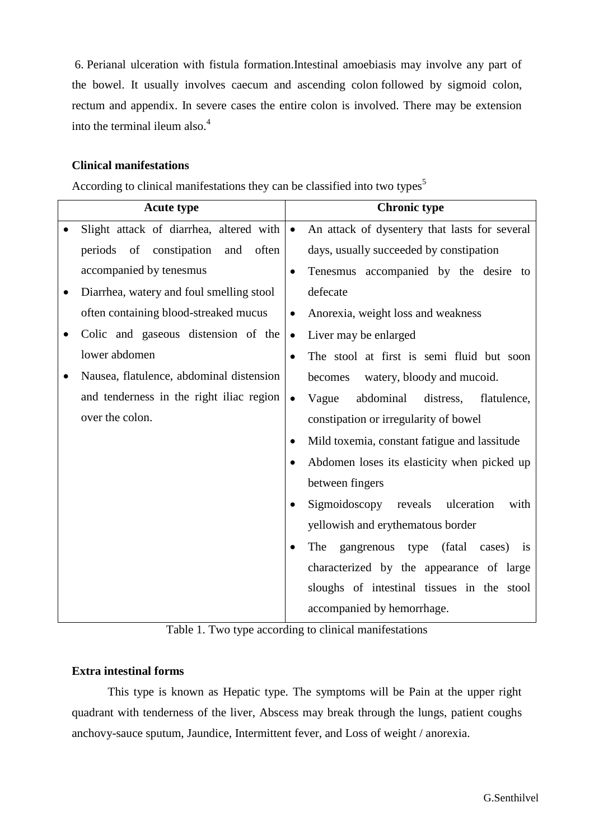6. Perianal ulceration with fistula formation.Intestinal amoebiasis may involve any part of the bowel. It usually involves caecum and ascending colon followed by sigmoid colon, rectum and appendix. In severe cases the entire colon is involved. There may be extension into the terminal ileum also.<sup>4</sup>

## **Clinical manifestations**

According to clinical manifestations they can be classified into two types<sup>5</sup>

| <b>Acute type</b>                          | <b>Chronic type</b>                                        |  |
|--------------------------------------------|------------------------------------------------------------|--|
| Slight attack of diarrhea, altered with    | An attack of dysentery that lasts for several<br>$\bullet$ |  |
| of constipation<br>often<br>periods<br>and | days, usually succeeded by constipation                    |  |
| accompanied by tenesmus                    | Tenesmus accompanied by the desire to<br>$\bullet$         |  |
| Diarrhea, watery and foul smelling stool   | defecate                                                   |  |
| often containing blood-streaked mucus      | Anorexia, weight loss and weakness<br>$\bullet$            |  |
| Colic and gaseous distension of the        | Liver may be enlarged<br>$\bullet$                         |  |
| lower abdomen                              | The stool at first is semi fluid but soon<br>$\bullet$     |  |
| Nausea, flatulence, abdominal distension   | watery, bloody and mucoid.<br>becomes                      |  |
| and tenderness in the right iliac region   | abdominal<br>Vague<br>distress,<br>flatulence,             |  |
| over the colon.                            | constipation or irregularity of bowel                      |  |
|                                            | Mild toxemia, constant fatigue and lassitude               |  |
|                                            | Abdomen loses its elasticity when picked up                |  |
|                                            | between fingers                                            |  |
|                                            | Sigmoidoscopy reveals<br>ulceration<br>with<br>$\bullet$   |  |
|                                            | yellowish and erythematous border                          |  |
|                                            | The<br>gangrenous type<br>(fatal)<br>cases) is<br>٠        |  |
|                                            | characterized by the appearance of large                   |  |
|                                            | sloughs of intestinal tissues in the stool                 |  |
|                                            | accompanied by hemorrhage.                                 |  |



## **Extra intestinal forms**

This type is known as Hepatic type. The symptoms will be Pain at the upper right quadrant with tenderness of the liver, Abscess may break through the lungs, patient coughs anchovy-sauce sputum, Jaundice, Intermittent fever, and Loss of weight / anorexia.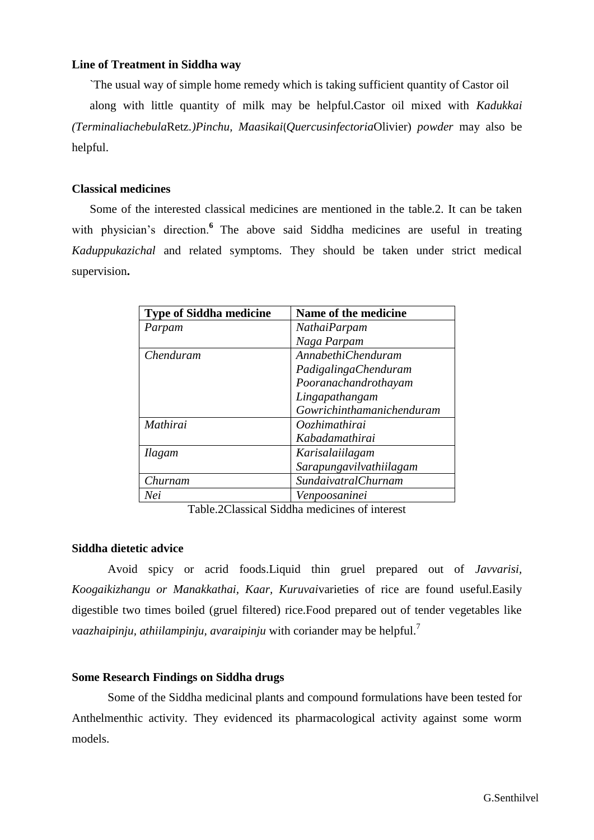## **Line of Treatment in Siddha way**

`The usual way of simple home remedy which is taking sufficient quantity of Castor oil

along with little quantity of milk may be helpful.Castor oil mixed with *Kadukkai (Terminaliachebula*Retz*.)Pinchu, Maasikai*(*Quercusinfectoria*Olivier) *powder* may also be helpful.

#### **Classical medicines**

Some of the interested classical medicines are mentioned in the table.2. It can be taken with physician's direction.<sup>6</sup> The above said Siddha medicines are useful in treating *Kaduppukazichal* and related symptoms. They should be taken under strict medical supervision**.**

| <b>Type of Siddha medicine</b> | Name of the medicine       |
|--------------------------------|----------------------------|
| Parpam                         | NathaiParpam               |
|                                | Naga Parpam                |
| Chenduram                      | <b>AnnabethiChenduram</b>  |
|                                | PadigalingaChenduram       |
|                                | Pooranachandrothayam       |
|                                | Lingapathangam             |
|                                | Gowrichinthamanichenduram  |
| Mathirai                       | Oozhimathirai              |
|                                | Kabadamathirai             |
| <b>Ilagam</b>                  | Karisalaiilagam            |
|                                | Sarapungavilvathiilagam    |
| Churnam                        | <b>SundaivatralChurnam</b> |
| Nei                            | Venpoosaninei              |

Table.2Classical Siddha medicines of interest

#### **Siddha dietetic advice**

Avoid spicy or acrid foods.Liquid thin gruel prepared out of *Javvarisi, Koogaikizhangu or Manakkathai, Kaar, Kuruvai*varieties of rice are found useful.Easily digestible two times boiled (gruel filtered) rice.Food prepared out of tender vegetables like *vaazhaipinju, athiilampinju, avaraipinju* with coriander may be helpful.<sup>7</sup>

## **Some Research Findings on Siddha drugs**

Some of the Siddha medicinal plants and compound formulations have been tested for Anthelmenthic activity. They evidenced its pharmacological activity against some worm models.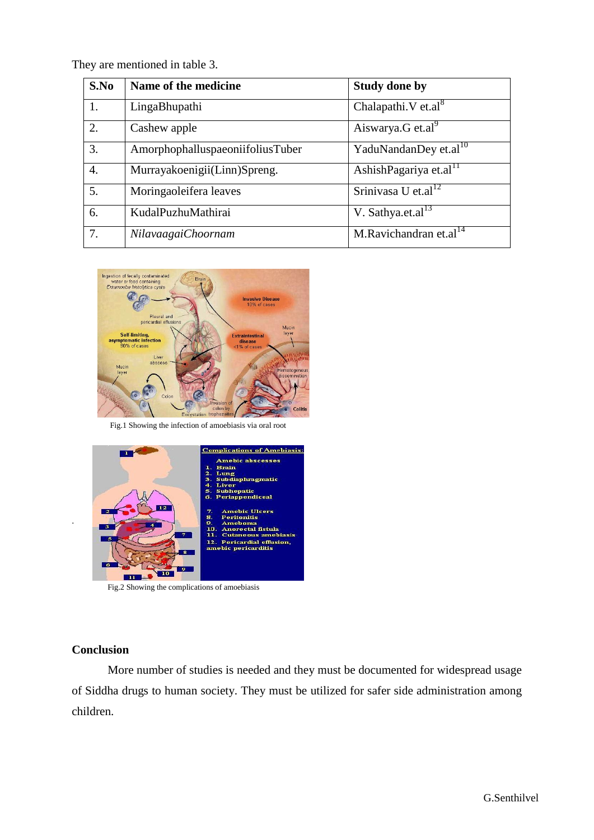They are mentioned in table 3.

| S.No | Name of the medicine             | <b>Study done by</b>               |
|------|----------------------------------|------------------------------------|
| 1.   | LingaBhupathi                    | Chalapathi. V et.al <sup>8</sup>   |
| 2.   | Cashew apple                     | Aiswarya.G et.al $\overline{a}$    |
| 3.   | AmorphophalluspaeoniifoliusTuber | YaduNandanDey et.al <sup>10</sup>  |
| 4.   | Murrayakoenigii(Linn)Spreng.     | AshishPagariya et.al <sup>11</sup> |
| 5.   | Moringaoleifera leaves           | Srinivasa U et.al <sup>12</sup>    |
| 6.   | KudalPuzhuMathirai               | V. Sathya.et.al $^{13}$            |
| 7.   | NilavaagaiChoornam               | M.Ravichandran et.al <sup>14</sup> |





Fig.2 Showing the complications of amoebiasis

# **Conclusion**

.

More number of studies is needed and they must be documented for widespread usage of Siddha drugs to human society. They must be utilized for safer side administration among children.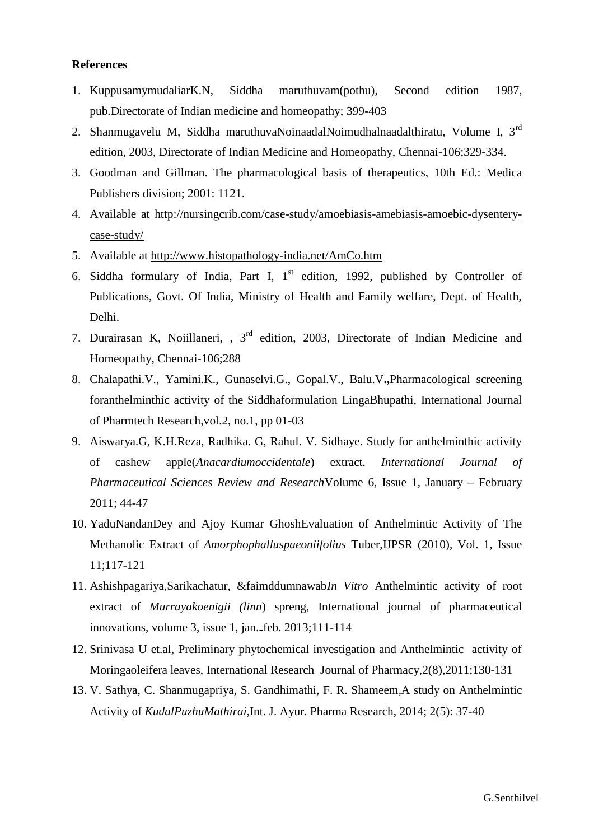#### **References**

- 1. KuppusamymudaliarK.N, Siddha maruthuvam(pothu), Second edition 1987, pub.Directorate of Indian medicine and homeopathy; 399-403
- 2. Shanmugavelu M, Siddha maruthuvaNoinaadalNoimudhalnaadalthiratu, Volume I, 3rd edition, 2003, Directorate of Indian Medicine and Homeopathy, Chennai-106;329-334.
- 3. Goodman and Gillman. The pharmacological basis of therapeutics, 10th Ed.: Medica Publishers division; 2001: 1121.
- 4. Available at [http://nursingcrib.com/case-study/amoebiasis-amebiasis-amoebic-dysentery](http://nursingcrib.com/case-study/amoebiasis-amebiasis-amoebic-dysentery-case-study/)[case-study/](http://nursingcrib.com/case-study/amoebiasis-amebiasis-amoebic-dysentery-case-study/)
- 5. Available at<http://www.histopathology-india.net/AmCo.htm>
- 6. Siddha formulary of India, Part I,  $1<sup>st</sup>$  edition, 1992, published by Controller of Publications, Govt. Of India, Ministry of Health and Family welfare, Dept. of Health, Delhi.
- 7. Durairasan K, Noiillaneri, , 3rd edition, 2003, Directorate of Indian Medicine and Homeopathy, Chennai-106;288
- 8. Chalapathi.V., Yamini.K., Gunaselvi.G., Gopal.V., Balu.V**.,**Pharmacological screening foranthelminthic activity of the Siddhaformulation LingaBhupathi, International Journal of Pharmtech Research,vol.2, no.1, pp 01-03
- 9. Aiswarya.G, K.H.Reza, Radhika. G, Rahul. V. Sidhaye. Study for anthelminthic activity of cashew apple(*Anacardiumoccidentale*) extract. *International Journal of Pharmaceutical Sciences Review and Research*Volume 6, Issue 1, January – February 2011; 44-47
- 10. YaduNandanDey and Ajoy Kumar GhoshEvaluation of Anthelmintic Activity of The Methanolic Extract of *Amorphophalluspaeoniifolius* Tuber,IJPSR (2010), Vol. 1, Issue 11;117-121
- 11. Ashishpagariya,Sarikachatur, &faimddumnawab*In Vitro* Anthelmintic activity of root extract of *Murrayakoenigii (linn*) spreng, International journal of pharmaceutical innovations, volume 3, issue 1, jan. feb. 2013;111-114
- 12. Srinivasa U et.al, Preliminary phytochemical investigation and Anthelmintic activity of Moringaoleifera leaves, International Research Journal of Pharmacy,2(8),2011;130-131
- 13. V. Sathya, C. Shanmugapriya, S. Gandhimathi, F. R. Shameem,A study on Anthelmintic Activity of *KudalPuzhuMathirai*,Int. J. Ayur. Pharma Research, 2014; 2(5): 37-40